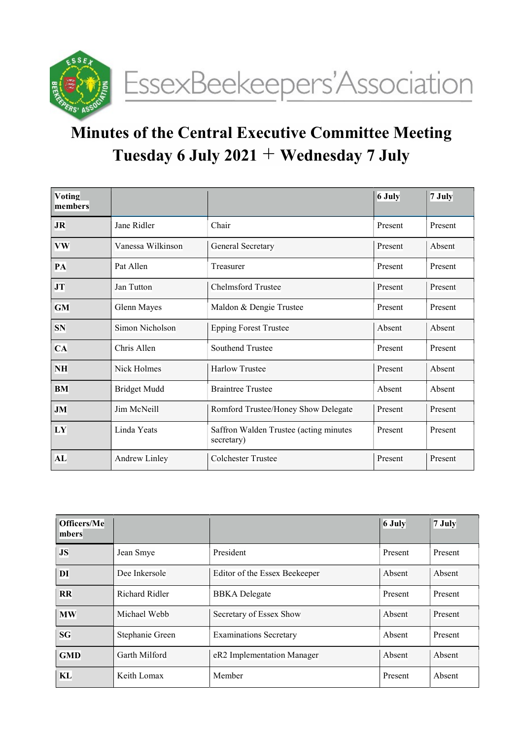

# Minutes of the Central Executive Committee Meeting Tuesday 6 July 2021 + Wednesday 7 July

| Voting<br>members |                      |                                                      | 6 July  | $7$ July |
|-------------------|----------------------|------------------------------------------------------|---------|----------|
| <b>JR</b>         | Chair<br>Jane Ridler |                                                      | Present | Present  |
| <b>VW</b>         | Vanessa Wilkinson    | General Secretary                                    | Present | Absent   |
| PA                | Pat Allen            | Treasurer                                            |         | Present  |
| JT                | Jan Tutton           | <b>Chelmsford Trustee</b>                            |         | Present  |
| <b>GM</b>         | Glenn Mayes          | Maldon & Dengie Trustee                              |         | Present  |
| SN                | Simon Nicholson      | <b>Epping Forest Trustee</b>                         |         | Absent   |
| <b>CA</b>         | Chris Allen          | Southend Trustee                                     |         | Present  |
| <b>NH</b>         | Nick Holmes          | <b>Harlow Trustee</b>                                |         | Absent   |
| <b>BM</b>         | <b>Bridget Mudd</b>  | <b>Braintree Trustee</b>                             |         | Absent   |
| <b>JM</b>         | Jim McNeill          | Romford Trustee/Honey Show Delegate                  | Present | Present  |
| LY                | Linda Yeats          | Saffron Walden Trustee (acting minutes<br>secretary) | Present | Present  |
| AL                | <b>Andrew Linley</b> | <b>Colchester Trustee</b>                            | Present | Present  |

| Officers/Me<br>mbers |                 |                               | 6 July  | $7$ July |
|----------------------|-----------------|-------------------------------|---------|----------|
| <b>JS</b>            | Jean Smye       | President                     | Present | Present  |
| DI                   | Dee Inkersole   | Editor of the Essex Beekeeper | Absent  | Absent   |
| RR                   | Richard Ridler  | <b>BBKA</b> Delegate          | Present | Present  |
| <b>MW</b>            | Michael Webb    | Secretary of Essex Show       | Absent  | Present  |
| <b>SG</b>            | Stephanie Green | <b>Examinations Secretary</b> | Absent  | Present  |
| <b>GMD</b>           | Garth Milford   | eR2 Implementation Manager    | Absent  | Absent   |
| KL                   | Keith Lomax     | Member                        | Present | Absent   |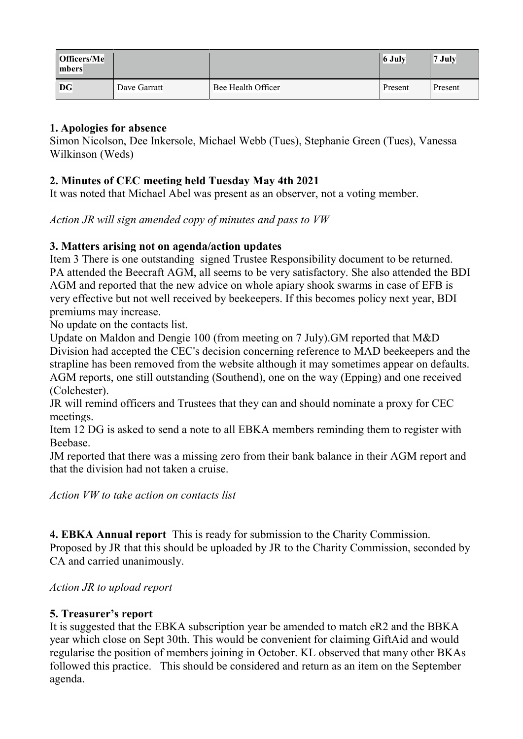| Officers/Me<br>mbers |              |                    | 6 July  | 7 July  |
|----------------------|--------------|--------------------|---------|---------|
| <b>DG</b>            | Dave Garratt | Bee Health Officer | Present | Present |

## 1. Apologies for absence

Simon Nicolson, Dee Inkersole, Michael Webb (Tues), Stephanie Green (Tues), Vanessa Wilkinson (Weds)

# 2. Minutes of CEC meeting held Tuesday May 4th 2021

It was noted that Michael Abel was present as an observer, not a voting member.

Action JR will sign amended copy of minutes and pass to VW

### 3. Matters arising not on agenda/action updates

Item 3 There is one outstanding signed Trustee Responsibility document to be returned. PA attended the Beecraft AGM, all seems to be very satisfactory. She also attended the BDI AGM and reported that the new advice on whole apiary shook swarms in case of EFB is very effective but not well received by beekeepers. If this becomes policy next year, BDI premiums may increase.

No update on the contacts list.

Update on Maldon and Dengie 100 (from meeting on 7 July).GM reported that M&D Division had accepted the CEC's decision concerning reference to MAD beekeepers and the strapline has been removed from the website although it may sometimes appear on defaults. AGM reports, one still outstanding (Southend), one on the way (Epping) and one received (Colchester).

JR will remind officers and Trustees that they can and should nominate a proxy for CEC meetings.

Item 12 DG is asked to send a note to all EBKA members reminding them to register with Beebase.

JM reported that there was a missing zero from their bank balance in their AGM report and that the division had not taken a cruise.

Action VW to take action on contacts list

4. EBKA Annual report This is ready for submission to the Charity Commission. Proposed by JR that this should be uploaded by JR to the Charity Commission, seconded by CA and carried unanimously.

Action JR to upload report

# 5. Treasurer's report

It is suggested that the EBKA subscription year be amended to match eR2 and the BBKA year which close on Sept 30th. This would be convenient for claiming GiftAid and would regularise the position of members joining in October. KL observed that many other BKAs followed this practice. This should be considered and return as an item on the September agenda.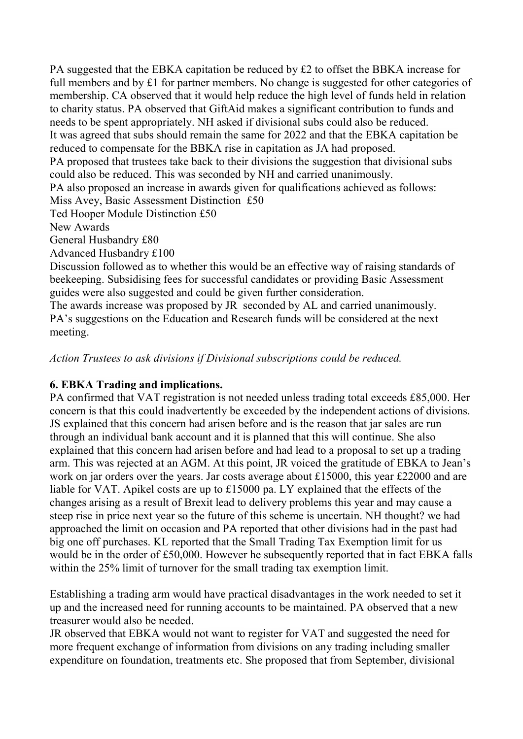PA suggested that the EBKA capitation be reduced by £2 to offset the BBKA increase for full members and by £1 for partner members. No change is suggested for other categories of membership. CA observed that it would help reduce the high level of funds held in relation to charity status. PA observed that GiftAid makes a significant contribution to funds and needs to be spent appropriately. NH asked if divisional subs could also be reduced. It was agreed that subs should remain the same for 2022 and that the EBKA capitation be reduced to compensate for the BBKA rise in capitation as JA had proposed. PA proposed that trustees take back to their divisions the suggestion that divisional subs could also be reduced. This was seconded by NH and carried unanimously. PA also proposed an increase in awards given for qualifications achieved as follows: Miss Avey, Basic Assessment Distinction £50 Ted Hooper Module Distinction £50 New Awards General Husbandry £80 Advanced Husbandry £100 Discussion followed as to whether this would be an effective way of raising standards of

beekeeping. Subsidising fees for successful candidates or providing Basic Assessment guides were also suggested and could be given further consideration.

The awards increase was proposed by JR seconded by AL and carried unanimously. PA's suggestions on the Education and Research funds will be considered at the next meeting.

Action Trustees to ask divisions if Divisional subscriptions could be reduced.

# 6. EBKA Trading and implications.

PA confirmed that VAT registration is not needed unless trading total exceeds £85,000. Her concern is that this could inadvertently be exceeded by the independent actions of divisions. JS explained that this concern had arisen before and is the reason that jar sales are run through an individual bank account and it is planned that this will continue. She also explained that this concern had arisen before and had lead to a proposal to set up a trading arm. This was rejected at an AGM. At this point, JR voiced the gratitude of EBKA to Jean's work on jar orders over the years. Jar costs average about £15000, this year £22000 and are liable for VAT. Apikel costs are up to £15000 pa. LY explained that the effects of the changes arising as a result of Brexit lead to delivery problems this year and may cause a steep rise in price next year so the future of this scheme is uncertain. NH thought? we had approached the limit on occasion and PA reported that other divisions had in the past had big one off purchases. KL reported that the Small Trading Tax Exemption limit for us would be in the order of £50,000. However he subsequently reported that in fact EBKA falls within the 25% limit of turnover for the small trading tax exemption limit.

Establishing a trading arm would have practical disadvantages in the work needed to set it up and the increased need for running accounts to be maintained. PA observed that a new treasurer would also be needed.

JR observed that EBKA would not want to register for VAT and suggested the need for more frequent exchange of information from divisions on any trading including smaller expenditure on foundation, treatments etc. She proposed that from September, divisional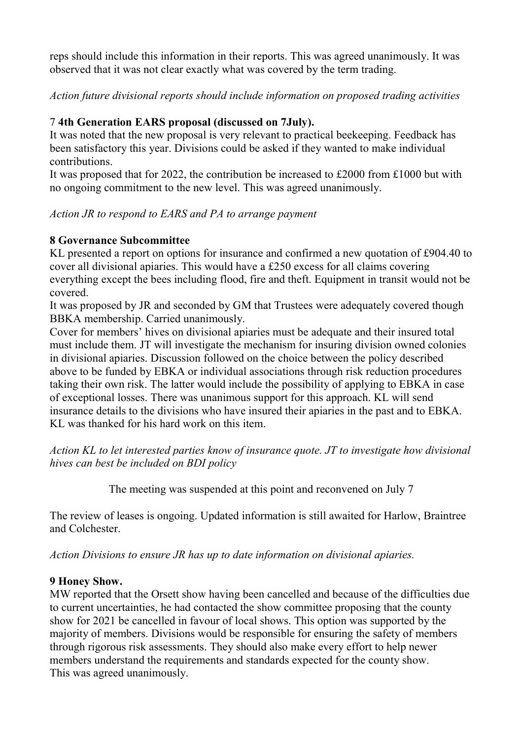reps should include this information in their reports. This was agreed unanimously. It was observed that it was not clear exactly what was covered by the term trading.

Action future divisional reports should include information on proposed trading activities

## 7 4th Generation EARS proposal (discussed on 7July).

It was noted that the new proposal is very relevant to practical beekeeping. Feedback has been satisfactory this year. Divisions could be asked if they wanted to make individual contributions.

It was proposed that for 2022, the contribution be increased to £2000 from £1000 but with no ongoing commitment to the new level. This was agreed unanimously.

Action JR to respond to EARS and PA to arrange payment

### 8 Governance Subcommittee

KL presented a report on options for insurance and confirmed a new quotation of £904.40 to cover all divisional apiaries. This would have a £250 excess for all claims covering everything except the bees including flood, fire and theft. Equipment in transit would not be covered.

It was proposed by JR and seconded by GM that Trustees were adequately covered though BBKA membership. Carried unanimously.

Cover for members' hives on divisional apiaries must be adequate and their insured total must include them. JT will investigate the mechanism for insuring division owned colonies in divisional apiaries. Discussion followed on the choice between the policy described above to be funded by EBKA or individual associations through risk reduction procedures taking their own risk. The latter would include the possibility of applying to EBKA in case of exceptional losses. There was unanimous support for this approach. KL will send insurance details to the divisions who have insured their apiaries in the past and to EBKA. KL was thanked for his hard work on this item.

Action KL to let interested parties know of insurance quote. JT to investigate how divisional hives can best be included on BDI policy

The meeting was suspended at this point and reconvened on July 7

The review of leases is ongoing. Updated information is still awaited for Harlow, Braintree and Colchester.

Action Divisions to ensure JR has up to date information on divisional apiaries.

#### 9 Honey Show.

MW reported that the Orsett show having been cancelled and because of the difficulties due to current uncertainties, he had contacted the show committee proposing that the county show for 2021 be cancelled in favour of local shows. This option was supported by the majority of members. Divisions would be responsible for ensuring the safety of members through rigorous risk assessments. They should also make every effort to help newer members understand the requirements and standards expected for the county show. This was agreed unanimously.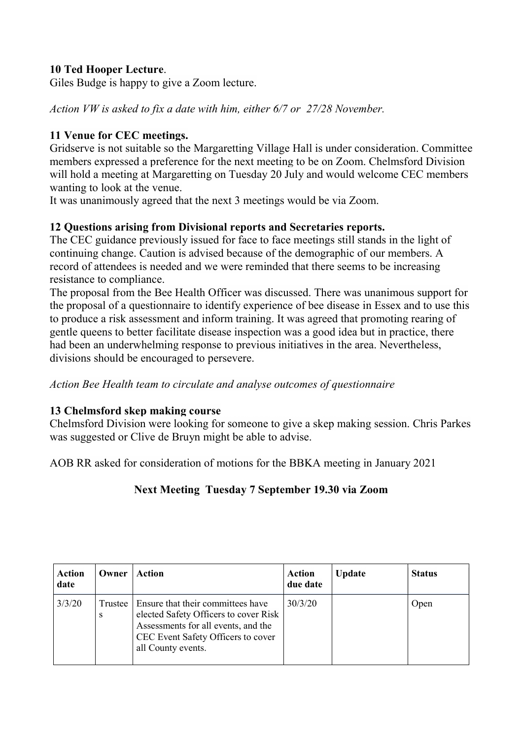## 10 Ted Hooper Lecture.

Giles Budge is happy to give a Zoom lecture.

Action VW is asked to fix a date with him, either 6/7 or 27/28 November.

#### 11 Venue for CEC meetings.

Gridserve is not suitable so the Margaretting Village Hall is under consideration. Committee members expressed a preference for the next meeting to be on Zoom. Chelmsford Division will hold a meeting at Margaretting on Tuesday 20 July and would welcome CEC members wanting to look at the venue.

It was unanimously agreed that the next 3 meetings would be via Zoom.

#### 12 Questions arising from Divisional reports and Secretaries reports.

The CEC guidance previously issued for face to face meetings still stands in the light of continuing change. Caution is advised because of the demographic of our members. A record of attendees is needed and we were reminded that there seems to be increasing resistance to compliance.

The proposal from the Bee Health Officer was discussed. There was unanimous support for the proposal of a questionnaire to identify experience of bee disease in Essex and to use this to produce a risk assessment and inform training. It was agreed that promoting rearing of gentle queens to better facilitate disease inspection was a good idea but in practice, there had been an underwhelming response to previous initiatives in the area. Nevertheless, divisions should be encouraged to persevere.

Action Bee Health team to circulate and analyse outcomes of questionnaire

#### 13 Chelmsford skep making course

Chelmsford Division were looking for someone to give a skep making session. Chris Parkes was suggested or Clive de Bruyn might be able to advise.

AOB RR asked for consideration of motions for the BBKA meeting in January 2021

# Next Meeting Tuesday 7 September 19.30 via Zoom

| <b>Action</b><br>date | Owner | Action                                                                                                                                                                                  | <b>Action</b><br>due date | <b>Update</b> | <b>Status</b> |
|-----------------------|-------|-----------------------------------------------------------------------------------------------------------------------------------------------------------------------------------------|---------------------------|---------------|---------------|
| 3/3/20                | S     | Trustee   Ensure that their committees have<br>elected Safety Officers to cover Risk<br>Assessments for all events, and the<br>CEC Event Safety Officers to cover<br>all County events. | 30/3/20                   |               | Open          |